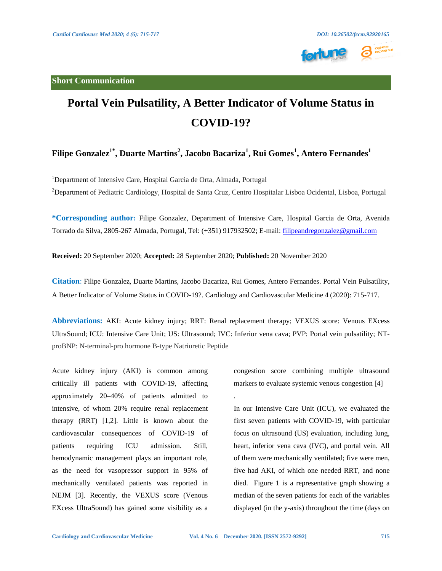



## **Portal Vein Pulsatility, A Better Indicator of Volume Status in COVID-19?**

## **Filipe Gonzalez1\* , Duarte Martins<sup>2</sup> , Jacobo Bacariza<sup>1</sup> , Rui Gomes<sup>1</sup> , Antero Fernandes<sup>1</sup>**

<sup>1</sup>Department of Intensive Care, Hospital Garcia de Orta, Almada, Portugal <sup>2</sup>Department of Pediatric Cardiology, Hospital de Santa Cruz, Centro Hospitalar Lisboa Ocidental, Lisboa, Portugal

**\*Corresponding author:** Filipe Gonzalez, Department of Intensive Care, Hospital Garcia de Orta, Avenida Torrado da Silva, 2805-267 Almada, Portugal, Tel: (+351) 917932502; E-mail: [filipeandregonzalez@gmail.com](mailto:filipeandregonzalez@gmail.com)

**Received:** 20 September 2020; **Accepted:** 28 September 2020; **Published:** 20 November 2020

**Citation**: Filipe Gonzalez, Duarte Martins, Jacobo Bacariza, Rui Gomes, Antero Fernandes. Portal Vein Pulsatility, A Better Indicator of Volume Status in COVID-19?. Cardiology and Cardiovascular Medicine 4 (2020): 715-717.

**Abbreviations:** AKI: Acute kidney injury; RRT: Renal replacement therapy; VEXUS score: Venous EXcess UltraSound; ICU: Intensive Care Unit; US: Ultrasound; IVC: Inferior vena cava; PVP: Portal vein pulsatility; NTproBNP: N-terminal-pro hormone B-type Natriuretic Peptide

.

Acute kidney injury (AKI) is common among critically ill patients with COVID-19, affecting approximately 20–40% of patients admitted to intensive, of whom 20% require renal replacement therapy (RRT) [1,2]. Little is known about the cardiovascular consequences of COVID-19 of patients requiring ICU admission. Still, hemodynamic management plays an important role, as the need for vasopressor support in 95% of mechanically ventilated patients was reported in NEJM [3]. Recently, the VEXUS score (Venous EXcess UltraSound) has gained some visibility as a

congestion score combining multiple ultrasound markers to evaluate systemic venous congestion [4]

In our Intensive Care Unit (ICU), we evaluated the first seven patients with COVID-19, with particular focus on ultrasound (US) evaluation, including lung, heart, inferior vena cava (IVC), and portal vein. All of them were mechanically ventilated; five were men, five had AKI, of which one needed RRT, and none died. Figure 1 is a representative graph showing a median of the seven patients for each of the variables displayed (in the y-axis) throughout the time (days on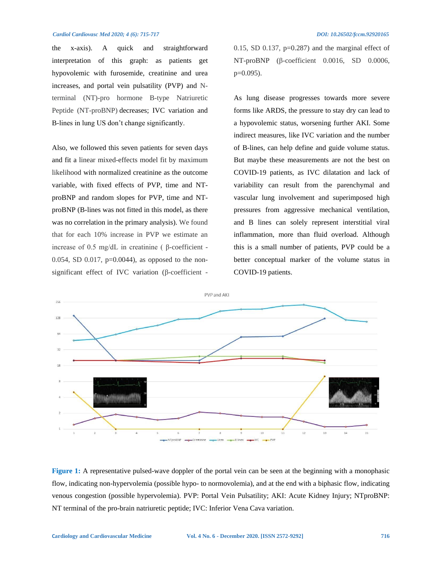## *Cardiol Cardiovasc Med 2020; 4 (6): 715-717 DOI: 10.26502/fccm.92920165*

the x-axis). A quick and straightforward interpretation of this graph: as patients get hypovolemic with furosemide, creatinine and urea increases, and portal vein pulsatility (PVP) and Nterminal (NT)-pro hormone B-type Natriuretic Peptide (NT-proBNP) decreases; IVC variation and B-lines in lung US don't change significantly.

Also, we followed this seven patients for seven days and fit a linear mixed-effects model fit by maximum likelihood with normalized creatinine as the outcome variable, with fixed effects of PVP, time and NTproBNP and random slopes for PVP, time and NTproBNP (B-lines was not fitted in this model, as there was no correlation in the primary analysis). We found that for each 10% increase in PVP we estimate an increase of 0.5 mg/dL in creatinine ( β-coefficient - 0.054, SD 0.017,  $p=0.0044$ ), as opposed to the nonsignificant effect of IVC variation (β-coefficient -

0.15, SD 0.137,  $p=0.287$  and the marginal effect of NT-proBNP (β-coefficient 0.0016, SD 0.0006, p=0.095).

As lung disease progresses towards more severe forms like ARDS, the pressure to stay dry can lead to a hypovolemic status, worsening further AKI. Some indirect measures, like IVC variation and the number of B-lines, can help define and guide volume status. But maybe these measurements are not the best on COVID-19 patients, as IVC dilatation and lack of variability can result from the parenchymal and vascular lung involvement and superimposed high pressures from aggressive mechanical ventilation, and B lines can solely represent interstitial viral inflammation, more than fluid overload. Although this is a small number of patients, PVP could be a better conceptual marker of the volume status in COVID-19 patients.



**Figure 1:** A representative pulsed-wave doppler of the portal vein can be seen at the beginning with a monophasic flow, indicating non-hypervolemia (possible hypo- to normovolemia), and at the end with a biphasic flow, indicating venous congestion (possible hypervolemia). PVP: Portal Vein Pulsatility; AKI: Acute Kidney Injury; NTproBNP: NT terminal of the pro-brain natriuretic peptide; IVC: Inferior Vena Cava variation.